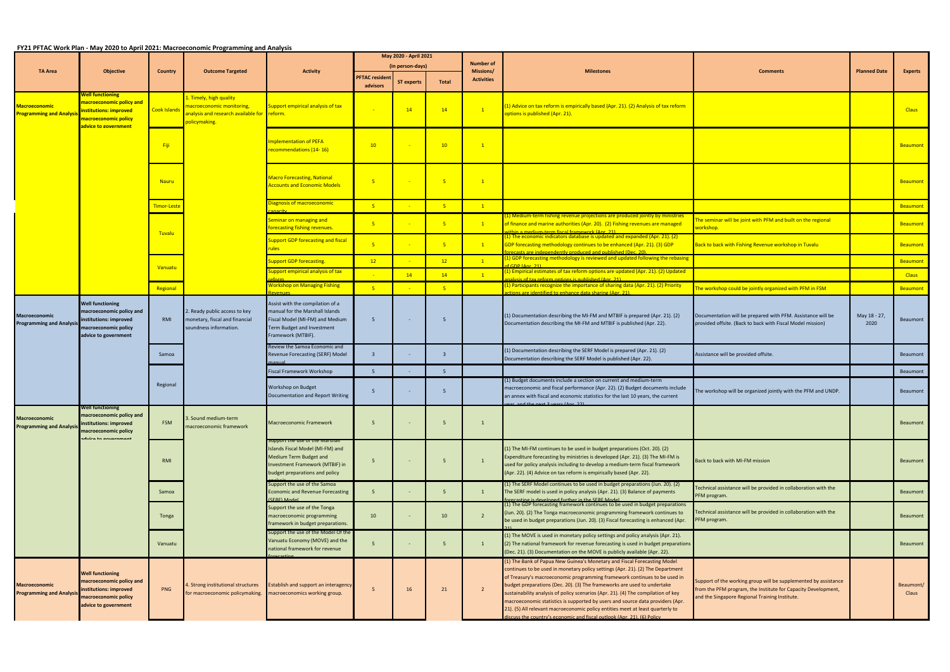## **FY21 PFTAC Work Plan ‐ May 2020 to April 2021: Macroeconomic Programming and Analysis**

|                                                             |                                                                                                                                |                     | <u> FTZI PFTAC WORK Plan - May 2020 to April 2021: Macroeconomic Programming and Analysis </u>            |                                                                                                                                                                               | May 2020 - April 2021      |                   |                               |                   |                                                                                                                                                                                                                                                                                                                                                                                                                                                                                                                                                                                                                                                        |                                                                                                                                                                                    |                      |                    |
|-------------------------------------------------------------|--------------------------------------------------------------------------------------------------------------------------------|---------------------|-----------------------------------------------------------------------------------------------------------|-------------------------------------------------------------------------------------------------------------------------------------------------------------------------------|----------------------------|-------------------|-------------------------------|-------------------|--------------------------------------------------------------------------------------------------------------------------------------------------------------------------------------------------------------------------------------------------------------------------------------------------------------------------------------------------------------------------------------------------------------------------------------------------------------------------------------------------------------------------------------------------------------------------------------------------------------------------------------------------------|------------------------------------------------------------------------------------------------------------------------------------------------------------------------------------|----------------------|--------------------|
| <b>TA Area</b>                                              | <b>Objective</b>                                                                                                               | <b>Country</b>      | <b>Outcome Targeted</b>                                                                                   | <b>Activity</b>                                                                                                                                                               | (in person-days)           |                   | <b>Number of</b><br>Missions/ | <b>Milestones</b> | <b>Comments</b>                                                                                                                                                                                                                                                                                                                                                                                                                                                                                                                                                                                                                                        | <b>Planned Date</b>                                                                                                                                                                | <b>Experts</b>       |                    |
|                                                             |                                                                                                                                |                     |                                                                                                           |                                                                                                                                                                               | PFTAC resident<br>advisors | <b>ST experts</b> | Total                         | <b>Activities</b> |                                                                                                                                                                                                                                                                                                                                                                                                                                                                                                                                                                                                                                                        |                                                                                                                                                                                    |                      |                    |
| <mark>Macroeconomic</mark><br><b>Programming and Analys</b> | <u>Nell functioning </u><br>macroeconomic policy and<br>institutions: improved<br>macroeconomic policy<br>idvice to government | <b>Cook Islands</b> | Timely, high quality<br>macroeconomic monitoring,<br>analysis and research available for<br>policymaking. | Support empirical analysis of tax<br>reform.                                                                                                                                  |                            | 14                | 14                            | $\mathbf{1}$      | (1) Advice on tax reform is empirically based (Apr. 21). (2) Analysis of tax reform<br>options is published (Apr. 21).                                                                                                                                                                                                                                                                                                                                                                                                                                                                                                                                 |                                                                                                                                                                                    |                      | <b>Claus</b>       |
|                                                             |                                                                                                                                | Fiji                |                                                                                                           | <b>Implementation of PEFA</b><br>recommendations (14-16)                                                                                                                      | 10                         |                   | 10                            | $\mathbf{1}$      |                                                                                                                                                                                                                                                                                                                                                                                                                                                                                                                                                                                                                                                        |                                                                                                                                                                                    |                      | <b>Beaumont</b>    |
|                                                             |                                                                                                                                | <b>Nauru</b>        |                                                                                                           | <b>Macro Forecasting, National</b><br><b>Accounts and Economic Models</b>                                                                                                     | $-5$                       |                   | $-5$                          | $\boxed{1}$       |                                                                                                                                                                                                                                                                                                                                                                                                                                                                                                                                                                                                                                                        |                                                                                                                                                                                    |                      | <b>Beaumont</b>    |
|                                                             |                                                                                                                                | Timor-Leste         |                                                                                                           | Diagnosis of macroeconomic                                                                                                                                                    | $-5$                       |                   | 5 <sub>o</sub>                | $\boxed{1}$       |                                                                                                                                                                                                                                                                                                                                                                                                                                                                                                                                                                                                                                                        |                                                                                                                                                                                    |                      | Beaumont           |
|                                                             |                                                                                                                                | <b>Tuvalu</b>       |                                                                                                           | Seminar on managing and<br>forecasting fishing revenues.                                                                                                                      | -5                         |                   | $-5$                          | $\boxed{1}$       | (1) Medium-term fishing revenue projections are produced jointly by ministries<br>of finance and marine authorities (Apr. 20). (2) Fishing revenues are managed<br>ithin a medium-term fiscal framework (Apr. 21)                                                                                                                                                                                                                                                                                                                                                                                                                                      | he seminar will be joint with PFM and built on the regional<br><mark>vorkshop.</mark>                                                                                              |                      | Beaumont           |
|                                                             |                                                                                                                                |                     |                                                                                                           | <b>Support GDP forecasting and fiscal</b><br><u>ules </u>                                                                                                                     | $-5$                       |                   | $-5$                          | $\mathbf{1}$      | (1) The economic indicators database is updated and expanded (Apr. 21). (2)<br>GDP forecasting methodology continues to be enhanced (Apr. 21). (3) GDP<br>recasts are indenendently produced and published (Dec. 20)                                                                                                                                                                                                                                                                                                                                                                                                                                   | Back to back with Fishing Revenue workshop in Tuvalu                                                                                                                               |                      | <b>Beaumont</b>    |
|                                                             |                                                                                                                                | <b>Vanuatu</b>      |                                                                                                           | <b>Support GDP forecasting.</b>                                                                                                                                               | 12                         |                   | 12                            | $\mathbf{1}$      | (1) GDP forecasting methodology is reviewed and updated following the rebasing<br>of GDP (Anr. 21)                                                                                                                                                                                                                                                                                                                                                                                                                                                                                                                                                     |                                                                                                                                                                                    |                      | Beaumont           |
|                                                             |                                                                                                                                |                     |                                                                                                           | support empirical analysis of tax                                                                                                                                             |                            | 14                | 14                            | $\mathbf{1}$      | (1) Empirical estimates of tax reform options are updated (Apr. 21). (2) Updated<br>alysis of tax reform ontions is nublished (Anr. 21)                                                                                                                                                                                                                                                                                                                                                                                                                                                                                                                |                                                                                                                                                                                    |                      | <b>Claus</b>       |
|                                                             |                                                                                                                                | Regional            |                                                                                                           | <b>Workshop on Managing Fishing</b>                                                                                                                                           | $-5$                       |                   | $-5$                          |                   | (1) Participants recognize the importance of sharing data (Apr. 21). (2) Priority<br><u>tions are identified to enhance data sharing (Anr. 21).</u>                                                                                                                                                                                                                                                                                                                                                                                                                                                                                                    | The workshop could be jointly organized with PFM in FSM                                                                                                                            |                      | <b>Beaumont</b>    |
| <b>Macroeconomic</b><br><b>Programming and Analysi</b>      | Well functioning<br>macroeconomic policy and<br>institutions: improved<br>macroeconomic policy<br>advice to government         | RMI                 | 2. Ready public access to key<br>monetary, fiscal and financial<br>soundness information.                 | Assist with the compilation of a<br>manual for the Marshall Islands<br>Fiscal Model (MI-FM) and Medium<br>Term Budget and Investment<br>Framework (MTBIF).                    | - 5                        | $\sim$ $-$        | 5                             |                   | (1) Documentation describing the MI-FM and MTBIF is prepared (Apr. 21). (2)<br>Documentation describing the MI-FM and MTBIF is published (Apr. 22).                                                                                                                                                                                                                                                                                                                                                                                                                                                                                                    | Documentation will be prepared with PFM. Assistance will be<br>provided offsite. (Back to back with Fiscal Model mission)                                                          | May 18 - 27,<br>2020 | Beaumont           |
|                                                             |                                                                                                                                | Samoa               |                                                                                                           | Review the Samoa Economic and<br>Revenue Forecasting (SERF) Model                                                                                                             | $\overline{\mathbf{3}}$    |                   | 3                             |                   | (1) Documentation describing the SERF Model is prepared (Apr. 21). (2)<br>Documentation describing the SERF Model is published (Apr. 22).                                                                                                                                                                                                                                                                                                                                                                                                                                                                                                              | Assistance will be provided offsite.                                                                                                                                               |                      | Beaumont           |
|                                                             |                                                                                                                                |                     |                                                                                                           | Fiscal Framework Workshop                                                                                                                                                     | - 5                        |                   | 5 <sup>1</sup>                |                   |                                                                                                                                                                                                                                                                                                                                                                                                                                                                                                                                                                                                                                                        |                                                                                                                                                                                    |                      | Beaumont           |
|                                                             |                                                                                                                                | Regional            |                                                                                                           | Workshop on Budget<br>Documentation and Report Writing                                                                                                                        | - 5                        | $\sim$            | - 5                           |                   | (1) Budget documents include a section on current and medium-term<br>macroeconomic and fiscal performance (Apr. 22). (2) Budget documents include<br>an annex with fiscal and economic statistics for the last 10 years, the current<br>and the next 2 years (Apr 22)                                                                                                                                                                                                                                                                                                                                                                                  | The workshop will be organized jointly with the PFM and UNDP.                                                                                                                      |                      | Beaumont           |
| <b>Macroeconomic</b><br><b>Programming and Analysi</b>      | Well functioning<br>macroeconomic policy and<br>institutions: improved<br>macroeconomic policy<br>duica ta gauarnmant          | <b>FSM</b>          | . Sound medium-term<br>macroeconomic framework                                                            | Macroeconomic Framework                                                                                                                                                       | 5                          |                   | - 5                           |                   |                                                                                                                                                                                                                                                                                                                                                                                                                                                                                                                                                                                                                                                        |                                                                                                                                                                                    |                      | Beaumont           |
|                                                             |                                                                                                                                | <b>RMI</b>          |                                                                                                           | <del>Support the use of the Marsha</del> r<br>Islands Fiscal Model (MI-FM) and<br>Medium Term Budget and<br>Investment Framework (MTBIF) in<br>budget preparations and policy | 5                          |                   | - 5                           | $\mathbf{1}$      | (1) The MI-FM continues to be used in budget preparations (Oct. 20). (2)<br>Expenditure forecasting by ministries is developed (Apr. 21). (3) The MI-FM is<br>used for policy analysis including to develop a medium-term fiscal framework<br>(Apr. 22). (4) Advice on tax reform is empirically based (Apr. 22).                                                                                                                                                                                                                                                                                                                                      | Back to back with MI-FM mission                                                                                                                                                    |                      | Beaumont           |
|                                                             |                                                                                                                                | Samoa               |                                                                                                           | Support the use of the Samoa<br>conomic and Revenue Forecasting<br>(SERE) Model                                                                                               | 5 <sup>5</sup>             | $\sim$ $-$        | 5 <sup>5</sup>                | $\mathbf{1}$      | (1) The SERF Model continues to be used in budget preparations (Jun. 20). (2)<br>The SERF model is used in policy analysis (Apr. 21). (3) Balance of payments<br>forecasting is developed further in the SERE Model                                                                                                                                                                                                                                                                                                                                                                                                                                    | Fechnical assistance will be provided in collaboration with the<br>PFM program.                                                                                                    |                      | Beaumont           |
|                                                             |                                                                                                                                | Tonga               |                                                                                                           | Support the use of the Tonga<br>macroeconomic programming<br>framework in budget preparations.                                                                                | 10                         |                   | 10                            | $\overline{2}$    | (1) The GDP forecasting framework continues to be used in budget preparations<br>(Jun. 20). (2) The Tonga macroeconomic programming framework continues to<br>be used in budget preparations (Jun. 20). (3) Fiscal forecasting is enhanced (Apr.                                                                                                                                                                                                                                                                                                                                                                                                       | Fechnical assistance will be provided in collaboration with the<br>PFM program.                                                                                                    |                      | Beaumont           |
|                                                             |                                                                                                                                | Vanuatu             |                                                                                                           | Support the use of the Model Of the<br>Vanuatu Economy (MOVE) and the<br>national framework for revenue                                                                       | 5                          |                   | 5                             | 1                 | (1) The MOVE is used in monetary policy settings and policy analysis (Apr. 21).<br>(2) The national framework for revenue forecasting is used in budget preparations<br>(Dec. 21). (3) Documentation on the MOVE is publicly available (Apr. 22).                                                                                                                                                                                                                                                                                                                                                                                                      |                                                                                                                                                                                    |                      | Beaumont           |
| <b>Macroeconomic</b><br><b>Programming and Analys</b>       | <b>Well functioning</b><br>macroeconomic policy and<br>institutions: improved<br>macroeconomic policy<br>advice to government  | PNG                 | . Strong institutional structures<br>for macroeconomic policymaking.                                      | Establish and support an interagency<br>macroeconomics working group.                                                                                                         | 5                          | 16                | 21                            | $\overline{2}$    | (1) The Bank of Papua New Guinea's Monetary and Fiscal Forecasting Model<br>continues to be used in monetary policy settings (Apr. 21). (2) The Department<br>of Treasury's macroeconomic programming framework continues to be used in<br>budget preparations (Dec. 20). (3) The frameworks are used to undertake<br>sustainability analysis of policy scenarios (Apr. 21). (4) The compilation of key<br>macroeconomic statistics is supported by users and source data providers (Apr.<br>21). (5) All relevant macroeconomic policy entities meet at least quarterly to<br>discuss the country's economic and fiscal outlook (Apr. 21). (6) Policy | Support of the working group will be supplemented by assistance<br>from the PFM program, the Institute for Capacity Development,<br>and the Singapore Regional Training Institute. |                      | Beaumont/<br>Claus |